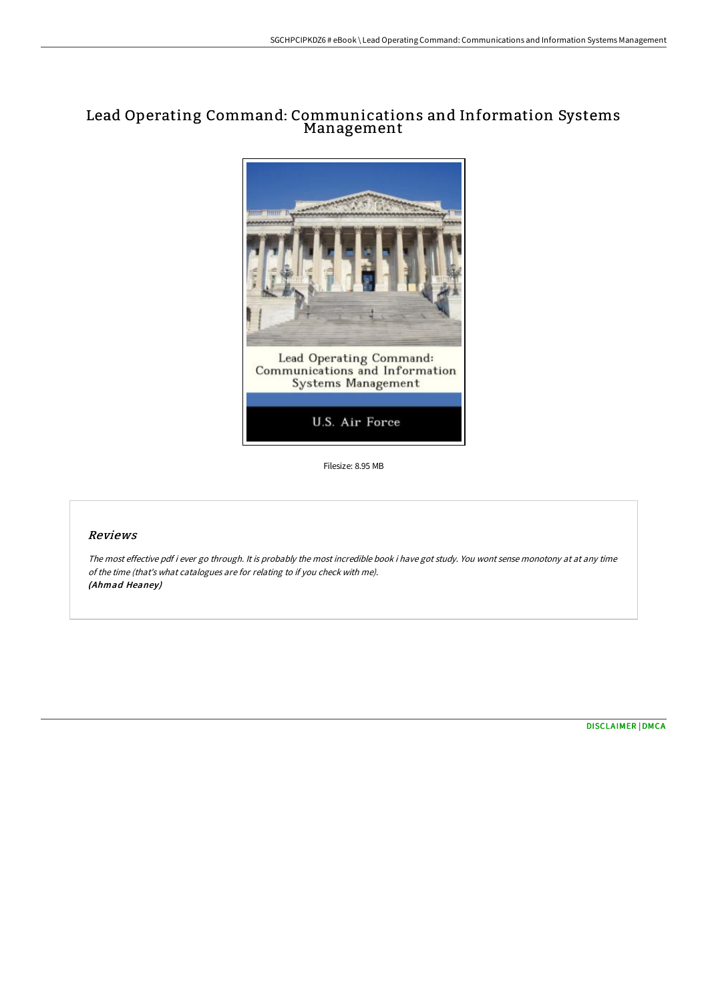# Lead Operating Command: Communications and Information Systems Management



Filesize: 8.95 MB

## Reviews

The most effective pdf i ever go through. It is probably the most incredible book i have got study. You wont sense monotony at at any time of the time (that's what catalogues are for relating to if you check with me). (Ahmad Heaney)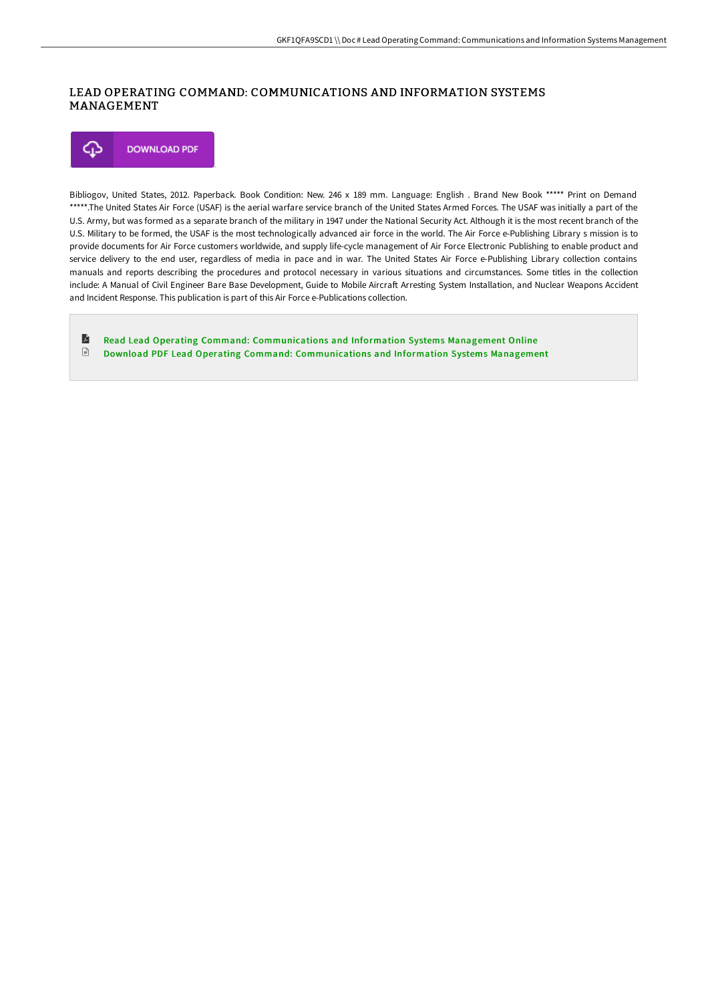## LEAD OPERATING COMMAND: COMMUNICATIONS AND INFORMATION SYSTEMS MANAGEMENT

⊕ **DOWNLOAD PDF** 

Bibliogov, United States, 2012. Paperback. Book Condition: New. 246 x 189 mm. Language: English . Brand New Book \*\*\*\*\* Print on Demand \*\*\*\*\*.The United States Air Force (USAF) is the aerial warfare service branch of the United States Armed Forces. The USAF was initially a part of the U.S. Army, but was formed as a separate branch of the military in 1947 under the National Security Act. Although it is the most recent branch of the U.S. Military to be formed, the USAF is the most technologically advanced air force in the world. The Air Force e-Publishing Library s mission is to provide documents for Air Force customers worldwide, and supply life-cycle management of Air Force Electronic Publishing to enable product and service delivery to the end user, regardless of media in pace and in war. The United States Air Force e-Publishing Library collection contains manuals and reports describing the procedures and protocol necessary in various situations and circumstances. Some titles in the collection include: A Manual of Civil Engineer Bare Base Development, Guide to Mobile Aircraft Arresting System Installation, and Nuclear Weapons Accident and Incident Response. This publication is part of this Air Force e-Publications collection.

E Read Lead Operating Command: [Communications](http://techno-pub.tech/lead-operating-command-communications-and-inform.html) and Information Systems Management Online  $\ensuremath{\mathop{\boxplus}}$ Download PDF Lead Operating Command: [Communications](http://techno-pub.tech/lead-operating-command-communications-and-inform.html) and Information Systems Management